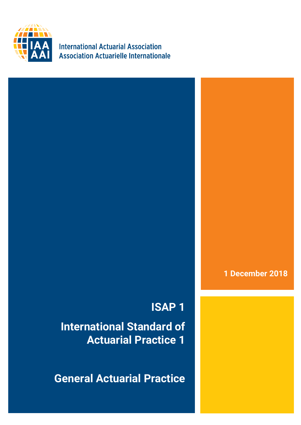

**International Actuarial Association Association Actuarielle Internationale** 

### **1 December 2018**

## **ISAP 1**

**International Standard of Actuarial Practice 1** 

**General Actuarial Practice**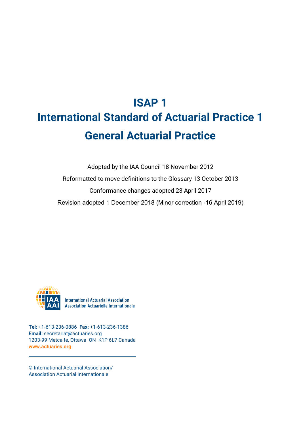# **ISAP 1 International Standard of Actuarial Practice 1 General Actuarial Practice**

Adopted by the IAA Council 18 November 2012 Reformatted to move definitions to the Glossary 13 October 2013 Conformance changes adopted 23 April 2017 Revision adopted 1 December 2018 (Minor correction -16 April 2019)



**International Actuarial Association Association Actuarielle Internationale** 

**Tel:** +1-613-236-0886 **Fax:** +1-613-236-1386 **Email:** secretariat@actuaries.org 1203-99 Metcalfe, Ottawa ON K1P 6L7 Canada **[www.actuaries.org](http://www.actuaries.org/)**

© International Actuarial Association/ Association Actuarial Internationale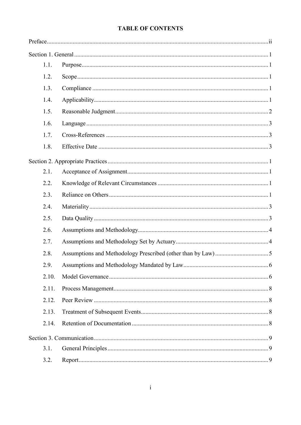#### **TABLE OF CONTENTS**

|  | 1.1.  |  |
|--|-------|--|
|  | 1.2.  |  |
|  | 1.3.  |  |
|  | 1.4.  |  |
|  | 1.5.  |  |
|  | 1.6.  |  |
|  | 1.7.  |  |
|  | 1.8.  |  |
|  |       |  |
|  | 2.1.  |  |
|  | 2.2.  |  |
|  | 2.3.  |  |
|  | 2.4.  |  |
|  | 2.5.  |  |
|  | 2.6.  |  |
|  | 2.7.  |  |
|  | 2.8.  |  |
|  | 2.9.  |  |
|  | 2.10. |  |
|  | 2.11. |  |
|  | 2.12. |  |
|  | 2.13. |  |
|  | 2.14. |  |
|  |       |  |
|  | 3.1.  |  |
|  | 3.2.  |  |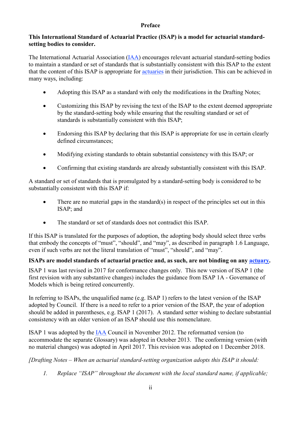#### **Preface**

#### <span id="page-3-0"></span>**This International Standard of Actuarial Practice (ISAP) is a model for actuarial standardsetting bodies to consider.**

The International Actuarial Association [\(IAA\)](https://www.actuaries.org/IAA/Documents/CTTEES_ASC/ISAPs_Glossary_Terms/IAA.html) encourages relevant actuarial standard-setting bodies to maintain a standard or set of standards that is substantially consistent with this ISAP to the extent that the content of this ISAP is appropriate for [actuaries](https://www.actuaries.org/IAA/Documents/CTTEES_ASC/ISAPs_Glossary_Terms/Actuary.html) in their jurisdiction. This can be achieved in many ways, including:

- Adopting this ISAP as a standard with only the modifications in the Drafting Notes;
- Customizing this ISAP by revising the text of the ISAP to the extent deemed appropriate by the standard-setting body while ensuring that the resulting standard or set of standards is substantially consistent with this ISAP;
- Endorsing this ISAP by declaring that this ISAP is appropriate for use in certain clearly defined circumstances;
- Modifying existing standards to obtain substantial consistency with this ISAP; or
- Confirming that existing standards are already substantially consistent with this ISAP.

A standard or set of standards that is promulgated by a standard-setting body is considered to be substantially consistent with this ISAP if:

- There are no material gaps in the standard $(s)$  in respect of the principles set out in this ISAP; and
- The standard or set of standards does not contradict this ISAP.

If this ISAP is translated for the purposes of adoption, the adopting body should select three verbs that embody the concepts of "must", "should", and "may", as described in paragraph 1.6 Language, even if such verbs are not the literal translation of "must", "should", and "may".

#### **ISAPs are model standards of actuarial practice and, as such, are not binding on any [actuary.](https://www.actuaries.org/IAA/Documents/CTTEES_ASC/ISAPs_Glossary_Terms/Actuary.html)**

ISAP 1 was last revised in 2017 for conformance changes only. This new version of ISAP 1 (the first revision with any substantive changes) includes the guidance from ISAP 1A - Governance of Models which is being retired concurrently.

In referring to ISAPs, the unqualified name (e.g. ISAP 1) refers to the latest version of the ISAP adopted by Council. If there is a need to refer to a prior version of the ISAP, the year of adoption should be added in parentheses, e.g. ISAP 1 (2017). A standard setter wishing to declare substantial consistency with an older version of an ISAP should use this nomenclature.

ISAP 1 was adopted by the [IAA](https://www.actuaries.org/IAA/Documents/CTTEES_ASC/ISAPs_Glossary_Terms/IAA.html) Council in November 2012. The reformatted version (to accommodate the separate Glossary) was adopted in October 2013. The conforming version (with no material changes) was adopted in April 2017. This revision was adopted on 1 December 2018.

*[Drafting Notes – When an actuarial standard-setting organization adopts this ISAP it should:*

*1. Replace "ISAP" throughout the document with the local standard name, if applicable;*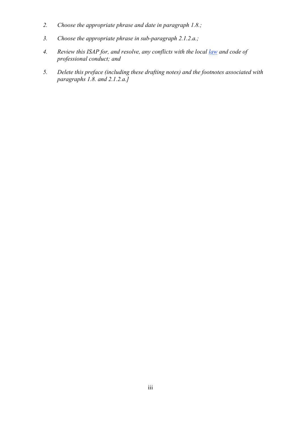- *2. Choose the appropriate phrase and date in paragraph [1.8.](#page-7-2);*
- *3. Choose the appropriate phrase in sub-paragraph [2.1.2.](#page-8-4)a.;*
- *4. Review this ISAP for, and resolve, any conflicts with the local [law](https://www.actuaries.org/IAA/Documents/CTTEES_ASC/ISAPs_Glossary_Terms/Law.html) and code of professional conduct; and*
- *5. Delete this preface (including these drafting notes) and the footnotes associated with paragraphs [1.8.](#page-7-2) and [2.1.2.](#page-8-4)a.]*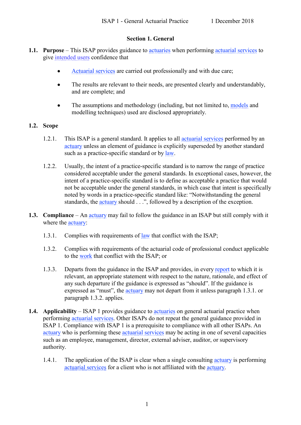#### **Section 1. General**

- <span id="page-5-1"></span><span id="page-5-0"></span>**1.1. Purpose** – This ISAP provides guidance to [actuaries](https://www.actuaries.org/IAA/Documents/CTTEES_ASC/ISAPs_Glossary_Terms/Actuary.html) when performing [actuarial services](https://www.actuaries.org/IAA/Documents/CTTEES_ASC/ISAPs_Glossary_Terms/Actuarial_Services.html) to give [intended users](https://www.actuaries.org/IAA/Documents/CTTEES_ASC/ISAPs_Glossary_Terms/intended_user.htm) confidence that
	- [Actuarial services](https://www.actuaries.org/IAA/Documents/CTTEES_ASC/ISAPs_Glossary_Terms/Actuarial_Services.html) are carried out professionally and with due care;
	- The results are relevant to their needs, are presented clearly and understandably, and are complete; and
	- The assumptions and methodology (including, but not limited to, [models](https://www.actuaries.org/IAA/Documents/CTTEES_ASC/ISAPs_Glossary_Terms/Model.html) and modelling techniques) used are disclosed appropriately.

#### <span id="page-5-2"></span>**1.2. Scope**

- 1.2.1. This ISAP is a general standard. It applies to all [actuarial services](https://www.actuaries.org/IAA/Documents/CTTEES_ASC/ISAPs_Glossary_Terms/Actuarial_Services.html) performed by an [actuary](https://www.actuaries.org/IAA/Documents/CTTEES_ASC/ISAPs_Glossary_Terms/Actuary.html) unless an element of guidance is explicitly superseded by another standard such as a practice-specific standard or by [law.](https://www.actuaries.org/IAA/Documents/CTTEES_ASC/ISAPs_Glossary_Terms/Law.html)
- 1.2.2. Usually, the intent of a practice-specific standard is to narrow the range of practice considered acceptable under the general standards. In exceptional cases, however, the intent of a practice-specific standard is to define as acceptable a practice that would not be acceptable under the general standards, in which case that intent is specifically noted by words in a practice-specific standard like: "Notwithstanding the general standards, the [actuary](https://www.actuaries.org/IAA/Documents/CTTEES_ASC/ISAPs_Glossary_Terms/Actuary.html) should . . .", followed by a description of the exception.
- <span id="page-5-6"></span><span id="page-5-5"></span><span id="page-5-3"></span>**1.3. Compliance** – An [actuary](https://www.actuaries.org/IAA/Documents/CTTEES_ASC/ISAPs_Glossary_Terms/Actuary.html) may fail to follow the guidance in an ISAP but still comply with it where the **actuary**:
	- 1.3.1. Complies with requirements of [law](https://www.actuaries.org/IAA/Documents/CTTEES_ASC/ISAPs_Glossary_Terms/Law.html) that conflict with the ISAP;
	- 1.3.2. Complies with requirements of the actuarial code of professional conduct applicable to the [work](https://www.actuaries.org/IAA/Documents/CTTEES_ASC/ISAPs_Glossary_Terms/Work.html) that conflict with the ISAP; or
	- 1.3.3. Departs from the guidance in the ISAP and provides, in ever[y report](https://www.actuaries.org/IAA/Documents/CTTEES_ASC/ISAPs_Glossary_Terms/Work.html) to which it is relevant, an appropriate statement with respect to the nature, rationale, and effect of any such departure if the guidance is expressed as "should". If the guidance is expressed as "must", the [actuary](https://www.actuaries.org/IAA/Documents/CTTEES_ASC/ISAPs_Glossary_Terms/Actuary.html) may not depart from it unless paragraph 1.3.1. or paragraph 1.3.2. applies.
- <span id="page-5-7"></span><span id="page-5-4"></span>**1.4. Applicability** – ISAP 1 provides guidance to [actuaries](https://www.actuaries.org/IAA/Documents/CTTEES_ASC/ISAPs_Glossary_Terms/Actuary.html) on general actuarial practice when performing [actuarial services.](https://www.actuaries.org/IAA/Documents/CTTEES_ASC/ISAPs_Glossary_Terms/Actuarial_Services.html) Other ISAPs do not repeat the general guidance provided in ISAP 1. Compliance with ISAP 1 is a prerequisite to compliance with all other ISAPs. An [actuary](https://www.actuaries.org/IAA/Documents/CTTEES_ASC/ISAPs_Glossary_Terms/Actuary.html) who is performing these [actuarial services](https://www.actuaries.org/IAA/Documents/CTTEES_ASC/ISAPs_Glossary_Terms/Actuarial_Services.html) may be acting in one of several capacities such as an employee, management, director, external adviser, auditor, or supervisory authority.
	- 1.4.1. The application of the ISAP is clear when a single consulting [actuary](https://www.actuaries.org/IAA/Documents/CTTEES_ASC/ISAPs_Glossary_Terms/Actuary.html) is performing [actuarial services](https://www.actuaries.org/IAA/Documents/CTTEES_ASC/ISAPs_Glossary_Terms/Actuarial_Services.html) for a client who is not affiliated with the [actuary.](https://www.actuaries.org/IAA/Documents/CTTEES_ASC/ISAPs_Glossary_Terms/Actuary.html)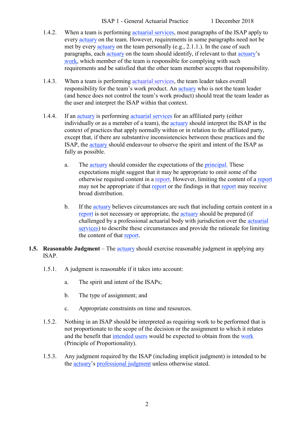- 1.4.2. When a team is performing [actuarial services,](https://www.actuaries.org/IAA/Documents/CTTEES_ASC/ISAPs_Glossary_Terms/Actuarial_Services.html) most paragraphs of the ISAP apply to every [actuary](https://www.actuaries.org/IAA/Documents/CTTEES_ASC/ISAPs_Glossary_Terms/Actuary.html) on the team. However, requirements in some paragraphs need not be met by every [actuary](https://www.actuaries.org/IAA/Documents/CTTEES_ASC/ISAPs_Glossary_Terms/Actuary.html) on the team personally (e.g., [2.1.1.](#page-8-5)). In the case of such paragraphs, each [actuary](https://www.actuaries.org/IAA/Documents/CTTEES_ASC/ISAPs_Glossary_Terms/Actuary.html) on the team should identify, if relevant to that [actuary'](https://www.actuaries.org/IAA/Documents/CTTEES_ASC/ISAPs_Glossary_Terms/Actuary.html)s [work,](https://www.actuaries.org/IAA/Documents/CTTEES_ASC/ISAPs_Glossary_Terms/Work.html) which member of the team is responsible for complying with such requirements and be satisfied that the other team member accepts that responsibility.
- 1.4.3. When a team is performing [actuarial services,](https://www.actuaries.org/IAA/Documents/CTTEES_ASC/ISAPs_Glossary_Terms/Actuarial_Services.html) the team leader takes overall responsibility for the team's work product. An [actuary](https://www.actuaries.org/IAA/Documents/CTTEES_ASC/ISAPs_Glossary_Terms/Actuary.html) who is not the team leader (and hence does not control the team's work product) should treat the team leader as the user and interpret the ISAP within that context.
- 1.4.4. If an [actuary](https://www.actuaries.org/IAA/Documents/CTTEES_ASC/ISAPs_Glossary_Terms/Actuary.html) is performing [actuarial services](https://www.actuaries.org/IAA/Documents/CTTEES_ASC/ISAPs_Glossary_Terms/Actuarial_Services.html) for an affiliated party (either individually or as a member of a team), the [actuary](https://www.actuaries.org/IAA/Documents/CTTEES_ASC/ISAPs_Glossary_Terms/Actuary.html) should interpret the ISAP in the context of practices that apply normally within or in relation to the affiliated party, except that, if there are substantive inconsistencies between these practices and the ISAP, the [actuary](https://www.actuaries.org/IAA/Documents/CTTEES_ASC/ISAPs_Glossary_Terms/Actuary.html) should endeavour to observe the spirit and intent of the ISAP as fully as possible.
	- a. The [actuary](https://www.actuaries.org/IAA/Documents/CTTEES_ASC/ISAPs_Glossary_Terms/Actuary.html) should consider the expectations of the [principal.](https://www.actuaries.org/IAA/Documents/CTTEES_ASC/ISAPs_Glossary_Terms/Principal.html) These expectations might suggest that it may be appropriate to omit some of the otherwise required content in a [report.](https://www.actuaries.org/IAA/Documents/CTTEES_ASC/ISAPs_Glossary_Terms/Report.html) However, limiting the content of a [report](https://www.actuaries.org/IAA/Documents/CTTEES_ASC/ISAPs_Glossary_Terms/Report.html) may not be appropriate if that [report](https://www.actuaries.org/IAA/Documents/CTTEES_ASC/ISAPs_Glossary_Terms/Report.html) or the findings in that report may receive broad distribution.
	- b. If the [actuary](https://www.actuaries.org/IAA/Documents/CTTEES_ASC/ISAPs_Glossary_Terms/Actuary.html) believes circumstances are such that including certain content in a [report](https://www.actuaries.org/IAA/Documents/CTTEES_ASC/ISAPs_Glossary_Terms/Report.html) is not necessary or appropriate, the [actuary](https://www.actuaries.org/IAA/Documents/CTTEES_ASC/ISAPs_Glossary_Terms/Actuary.html) should be prepared (if challenged by a professional actuarial body with jurisdiction over the [actuarial](https://www.actuaries.org/IAA/Documents/CTTEES_ASC/ISAPs_Glossary_Terms/Actuarial_Services.html)  [services\)](https://www.actuaries.org/IAA/Documents/CTTEES_ASC/ISAPs_Glossary_Terms/Actuarial_Services.html) to describe these circumstances and provide the rationale for limiting the content of that [report.](https://www.actuaries.org/IAA/Documents/CTTEES_ASC/ISAPs_Glossary_Terms/Report.html)
- <span id="page-6-0"></span>**1.5. Reasonable Judgment** – The [actuary](https://www.actuaries.org/IAA/Documents/CTTEES_ASC/ISAPs_Glossary_Terms/Actuary.html) should exercise reasonable judgment in applying any ISAP.
	- 1.5.1. A judgment is reasonable if it takes into account:
		- a. The spirit and intent of the ISAPs;
		- b. The type of assignment; and
		- c. Appropriate constraints on time and resources.
	- 1.5.2. Nothing in an ISAP should be interpreted as requiring work to be performed that is not proportionate to the scope of the decision or the assignment to which it relates and the benefit that [intended users](https://www.actuaries.org/IAA/Documents/CTTEES_ASC/ISAPs_Glossary_Terms/Intended_User.html) would be expected to obtain from the [work](https://www.actuaries.org/IAA/Documents/CTTEES_ASC/ISAPs_Glossary_Terms/Work.html) (Principle of Proportionality).
	- 1.5.3. Any judgment required by the ISAP (including implicit judgment) is intended to be the [actuary'](https://www.actuaries.org/IAA/Documents/CTTEES_ASC/ISAPs_Glossary_Terms/Actuary.html)s [professional judgment](https://www.actuaries.org/IAA/Documents/CTTEES_ASC/ISAPs_Glossary_Terms/Professional_Judgment.html) unless otherwise stated.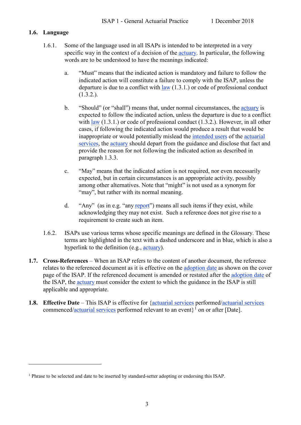#### <span id="page-7-0"></span>**1.6. Language**

 $\overline{a}$ 

- 1.6.1. Some of the language used in all ISAPs is intended to be interpreted in a very specific way in the context of a decision of the [actuary.](https://www.actuaries.org/IAA/Documents/CTTEES_ASC/ISAPs_Glossary_Terms/Actuary.html) In particular, the following words are to be understood to have the meanings indicated:
	- a. "Must" means that the indicated action is mandatory and failure to follow the indicated action will constitute a failure to comply with the ISAP, unless the departure is due to a conflict with  $law(1.3.1.)$  $law(1.3.1.)$  $law(1.3.1.)$  or code of professional conduct [\(1.3.2.](#page-5-6)).
	- b. "Should" (or "shall") means that, under normal circumstances, the [actuary](https://www.actuaries.org/IAA/Documents/CTTEES_ASC/ISAPs_Glossary_Terms/Actuary.html) is expected to follow the indicated action, unless the departure is due to a conflict with [law](https://www.actuaries.org/IAA/Documents/CTTEES_ASC/ISAPs_Glossary_Terms/Law.html)  $(1.3.1.)$  $(1.3.1.)$  or code of professional conduct  $(1.3.2.)$  $(1.3.2.)$ . However, in all other cases, if following the indicated action would produce a result that would be inappropriate or would potentially mislead the [intended users](https://www.actuaries.org/IAA/Documents/CTTEES_ASC/ISAPs_Glossary_Terms/Intended_User.html) of the [actuarial](https://www.actuaries.org/IAA/Documents/CTTEES_ASC/ISAPs_Glossary_Terms/Actuarial_Services.html)  [services,](https://www.actuaries.org/IAA/Documents/CTTEES_ASC/ISAPs_Glossary_Terms/Actuarial_Services.html) the [actuary](https://www.actuaries.org/IAA/Documents/CTTEES_ASC/ISAPs_Glossary_Terms/Actuary.html) should depart from the guidance and disclose that fact and provide the reason for not following the indicated action as described in paragraph [1.3.3.](#page-5-7)
	- c. "May" means that the indicated action is not required, nor even necessarily expected, but in certain circumstances is an appropriate activity, possibly among other alternatives. Note that "might" is not used as a synonym for "may", but rather with its normal meaning.
	- d. "Any" (as in e.g. "any [report"](https://www.actuaries.org/IAA/Documents/CTTEES_ASC/ISAPs_Glossary_Terms/Report.html)) means all such items if they exist, while acknowledging they may not exist. Such a reference does not give rise to a requirement to create such an item.
- 1.6.2. ISAPs use various terms whose specific meanings are defined in the Glossary. These terms are highlighted in the text with a dashed underscore and in blue, which is also a hyperlink to the definition (e.g., [actuary\)](https://www.actuaries.org/IAA/Documents/CTTEES_ASC/ISAPs_Glossary_Terms/Actuary.html).
- <span id="page-7-1"></span>**1.7. Cross-References** – When an ISAP refers to the content of another document, the reference relates to the referenced document as it is effective on the [adoption date](https://www.actuaries.org/IAA/Documents/CTTEES_ASC/ISAPs_Glossary_Terms/Adoption_Date.html) as shown on the cover page of the ISAP. If the referenced document is amended or restated after the [adoption date](https://www.actuaries.org/IAA/Documents/CTTEES_ASC/ISAPs_Glossary_Terms/Adoption_Date.html) of the ISAP, the [actuary](https://www.actuaries.org/IAA/Documents/CTTEES_ASC/ISAPs_Glossary_Terms/Actuary.html) must consider the extent to which the guidance in the ISAP is still applicable and appropriate.
- <span id="page-7-2"></span>**1.8. Effective Date** – This ISAP is effective for [{actuarial services](https://www.actuaries.org/IAA/Documents/CTTEES_ASC/ISAPs_Glossary_Terms/Actuarial_Services.html) performed[/actuarial services](https://www.actuaries.org/IAA/Documents/CTTEES_ASC/ISAPs_Glossary_Terms/Actuarial_Services.html) commenced[/actuarial services](https://www.actuaries.org/IAA/Documents/CTTEES_ASC/ISAPs_Glossary_Terms/Actuarial_Services.html) performed relevant to an event $\}^1$  $\}^1$  on or after [Date].

<span id="page-7-3"></span><sup>&</sup>lt;sup>1</sup> Phrase to be selected and date to be inserted by standard-setter adopting or endorsing this ISAP.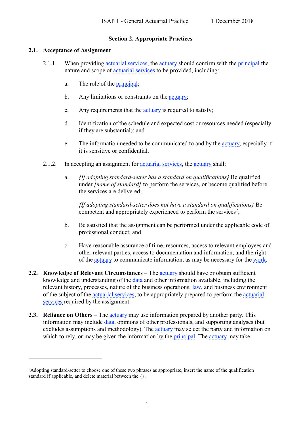#### **Section 2. Appropriate Practices**

#### <span id="page-8-5"></span><span id="page-8-1"></span><span id="page-8-0"></span>**2.1. Acceptance of Assignment**

 $\overline{a}$ 

- 2.1.1. When providing [actuarial services,](https://www.actuaries.org/IAA/Documents/CTTEES_ASC/ISAPs_Glossary_Terms/Actuarial_Services.html) the [actuary](https://www.actuaries.org/IAA/Documents/CTTEES_ASC/ISAPs_Glossary_Terms/Actuary.html) should confirm with the [principal](https://www.actuaries.org/IAA/Documents/CTTEES_ASC/ISAPs_Glossary_Terms/Principal.html) the nature and scope of [actuarial services](https://www.actuaries.org/IAA/Documents/CTTEES_ASC/ISAPs_Glossary_Terms/Actuarial_Services.html) to be provided, including:
	- a. The role of the [principal;](https://www.actuaries.org/IAA/Documents/CTTEES_ASC/ISAPs_Glossary_Terms/Principal.html)
	- b. Any limitations or constraints on the [actuary;](https://www.actuaries.org/IAA/Documents/CTTEES_ASC/ISAPs_Glossary_Terms/Actuary.html)
	- c. Any requirements that the [actuary](https://www.actuaries.org/IAA/Documents/CTTEES_ASC/ISAPs_Glossary_Terms/Actuary.html) is required to satisfy;
	- d. Identification of the schedule and expected cost or resources needed (especially if they are substantial); and
	- e. The information needed to be communicated to and by the *actuary*, especially if it is sensitive or confidential.
- <span id="page-8-4"></span>2.1.2. In accepting an assignment for [actuarial services,](https://www.actuaries.org/IAA/Documents/CTTEES_ASC/ISAPs_Glossary_Terms/Actuarial_Services.html) the [actuary](https://www.actuaries.org/IAA/Documents/CTTEES_ASC/ISAPs_Glossary_Terms/Actuary.html) shall:
	- a. *{If adopting standard-setter has a standard on qualifications}* Be qualified under *[name of standard]* to perform the services, or become qualified before the services are delivered;

*{If adopting standard-setter does not have a standard on qualifications}* Be competent and appropriately experienced to perform the services<sup>[2](#page-8-6)</sup>;

- b. Be satisfied that the assignment can be performed under the applicable code of professional conduct; and
- c. Have reasonable assurance of time, resources, access to relevant employees and other relevant parties, access to documentation and information, and the right of the [actuary](https://www.actuaries.org/IAA/Documents/CTTEES_ASC/ISAPs_Glossary_Terms/Actuary.html) to communicate information, as may be necessary for the [work.](https://www.actuaries.org/IAA/Documents/CTTEES_ASC/ISAPs_Glossary_Terms/Work.html)
- <span id="page-8-2"></span>**2.2. Knowledge of Relevant Circumstances** – The [actuary](https://www.actuaries.org/IAA/Documents/CTTEES_ASC/ISAPs_Glossary_Terms/Actuary.html) should have or obtain sufficient knowledge and understanding of the [data](https://www.actuaries.org/IAA/Documents/CTTEES_ASC/ISAPs_Glossary_Terms/Data.html) and other information available, including the relevant history, processes, nature of the business operations, [law,](https://www.actuaries.org/IAA/Documents/CTTEES_ASC/ISAPs_Glossary_Terms/Law.html) and business environment of the subject of the [actuarial services,](https://www.actuaries.org/IAA/Documents/CTTEES_ASC/ISAPs_Glossary_Terms/Actuarial_Services.html) to be appropriately prepared to perform the actuarial [services](https://www.actuaries.org/IAA/Documents/CTTEES_ASC/ISAPs_Glossary_Terms/Actuarial_Services.html) required by the assignment.
- <span id="page-8-3"></span>**2.3. Reliance on Others** – The [actuary](https://www.actuaries.org/IAA/Documents/CTTEES_ASC/ISAPs_Glossary_Terms/Actuary.html) may use information prepared by another party. This information may include [data,](https://www.actuaries.org/IAA/Documents/CTTEES_ASC/ISAPs_Glossary_Terms/Data.html) opinions of other professionals, and supporting analyses (but excludes assumptions and methodology). The [actuary](https://www.actuaries.org/IAA/Documents/CTTEES_ASC/ISAPs_Glossary_Terms/Actuary.html) may select the party and information on which to rely, or may be given the information by the [principal.](https://www.actuaries.org/IAA/Documents/CTTEES_ASC/ISAPs_Glossary_Terms/Principal.html) The [actuary](https://www.actuaries.org/IAA/Documents/CTTEES_ASC/ISAPs_Glossary_Terms/Actuary.html) may take

<span id="page-8-6"></span><sup>2</sup> Adopting standard-setter to choose one of these two phrases as appropriate, insert the name of the qualification standard if applicable, and delete material between the {}.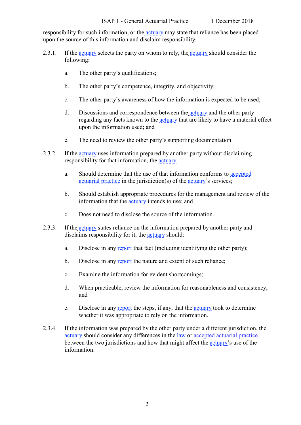responsibility for such information, or the **[actuary](https://www.actuaries.org/IAA/Documents/CTTEES_ASC/ISAPs_Glossary_Terms/Actuary.html)** may state that reliance has been placed upon the source of this information and disclaim responsibility.

- 2.3.1. If the [actuary](https://www.actuaries.org/IAA/Documents/CTTEES_ASC/ISAPs_Glossary_Terms/Actuary.html) selects the party on whom to rely, the [actuary](https://www.actuaries.org/IAA/Documents/CTTEES_ASC/ISAPs_Glossary_Terms/Actuary.html) should consider the following:
	- a. The other party's qualifications;
	- b. The other party's competence, integrity, and objectivity;
	- c. The other party's awareness of how the information is expected to be used;
	- d. Discussions and correspondence between the [actuary](https://www.actuaries.org/IAA/Documents/CTTEES_ASC/ISAPs_Glossary_Terms/Actuary.html) and the other party regarding any facts known to the [actuary](https://www.actuaries.org/IAA/Documents/CTTEES_ASC/ISAPs_Glossary_Terms/Actuary.html) that are likely to have a material effect upon the information used; and
	- e. The need to review the other party's supporting documentation.
- 2.3.2. If the [actuary](https://www.actuaries.org/IAA/Documents/CTTEES_ASC/ISAPs_Glossary_Terms/Actuary.html) uses information prepared by another party without disclaiming responsibility for that information, the [actuary:](https://www.actuaries.org/IAA/Documents/CTTEES_ASC/ISAPs_Glossary_Terms/Actuary.html)
	- a. Should determine that the use of that information conforms to [accepted](https://www.actuaries.org/IAA/Documents/CTTEES_ASC/ISAPs_Glossary_Terms/Accepted_Actuarial_Practice.html)  [actuarial practice](https://www.actuaries.org/IAA/Documents/CTTEES_ASC/ISAPs_Glossary_Terms/Accepted_Actuarial_Practice.html) in the jurisdiction(s) of the [actuary'](https://www.actuaries.org/IAA/Documents/CTTEES_ASC/ISAPs_Glossary_Terms/Actuary.html)s services;
	- b. Should establish appropriate procedures for the management and review of the information that the [actuary](https://www.actuaries.org/IAA/Documents/CTTEES_ASC/ISAPs_Glossary_Terms/Actuary.html) intends to use; and
	- c. Does not need to disclose the source of the information.
- <span id="page-9-0"></span>2.3.3. If the [actuary](https://www.actuaries.org/IAA/Documents/CTTEES_ASC/ISAPs_Glossary_Terms/Actuary.html) states reliance on the information prepared by another party and disclaims responsibility for it, the [actuary](https://www.actuaries.org/IAA/Documents/CTTEES_ASC/ISAPs_Glossary_Terms/Actuary.html) should:
	- a. Disclose in any [report](https://www.actuaries.org/IAA/Documents/CTTEES_ASC/ISAPs_Glossary_Terms/Report.html) that fact (including identifying the other party);
	- b. Disclose in any [report](https://www.actuaries.org/IAA/Documents/CTTEES_ASC/ISAPs_Glossary_Terms/Report.html) the nature and extent of such reliance;
	- c. Examine the information for evident shortcomings;
	- d. When practicable, review the information for reasonableness and consistency; and
	- e. Disclose in any [report](https://www.actuaries.org/IAA/Documents/CTTEES_ASC/ISAPs_Glossary_Terms/Report.html) the steps, if any, that the [actuary](https://www.actuaries.org/IAA/Documents/CTTEES_ASC/ISAPs_Glossary_Terms/Actuary.html) took to determine whether it was appropriate to rely on the information.
- 2.3.4. If the information was prepared by the other party under a different jurisdiction, the [actuary](https://www.actuaries.org/IAA/Documents/CTTEES_ASC/ISAPs_Glossary_Terms/Actuary.html) should consider any differences in the [law](https://www.actuaries.org/IAA/Documents/CTTEES_ASC/ISAPs_Glossary_Terms/Law.html) or [accepted actuarial practice](https://www.actuaries.org/IAA/Documents/CTTEES_ASC/ISAPs_Glossary_Terms/Accepted_Actuarial_Practice.html) between the two jurisdictions and how that might affect the [actuary'](https://www.actuaries.org/IAA/Documents/CTTEES_ASC/ISAPs_Glossary_Terms/Actuary.html)s use of the information.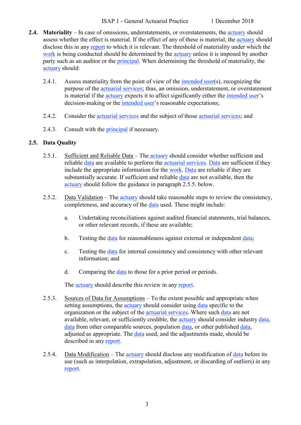ISAP 1 - General Actuarial Practice 1 December 2018

- <span id="page-10-0"></span>**2.4. Materiality** – In case of omissions, understatements, or overstatements, the [actuary](https://www.actuaries.org/IAA/Documents/CTTEES_ASC/ISAPs_Glossary_Terms/Actuary.html) should assess whether the effect is material. If the effect of any of these is material, the [actuary](https://www.actuaries.org/IAA/Documents/CTTEES_ASC/ISAPs_Glossary_Terms/Actuary.html) should disclose this in any [report](https://www.actuaries.org/IAA/Documents/CTTEES_ASC/ISAPs_Glossary_Terms/Report.html) to which it is relevant. The threshold of materiality under which the [work](https://www.actuaries.org/IAA/Documents/CTTEES_ASC/ISAPs_Glossary_Terms/Work.html) is being conducted should be determined by the [actuary](https://www.actuaries.org/IAA/Documents/CTTEES_ASC/ISAPs_Glossary_Terms/Actuary.html) unless it is imposed by another party such as an auditor or the **principal**. When determining the threshold of materiality, the [actuary](https://www.actuaries.org/IAA/Documents/CTTEES_ASC/ISAPs_Glossary_Terms/Actuary.html) should:
	- 2.4.1. Assess materiality from the point of view of the [intended user\(](https://www.actuaries.org/IAA/Documents/CTTEES_ASC/ISAPs_Glossary_Terms/Intended_User.html)s), recognizing the purpose of the [actuarial services;](https://www.actuaries.org/IAA/Documents/CTTEES_ASC/ISAPs_Glossary_Terms/Actuarial_Services.html) thus, an omission, understatement, or overstatement is material if the [actuary](https://www.actuaries.org/IAA/Documents/CTTEES_ASC/ISAPs_Glossary_Terms/Actuary.html) expects it to affect significantly either the [intended user'](https://www.actuaries.org/IAA/Documents/CTTEES_ASC/ISAPs_Glossary_Terms/Intended_User.html)s decision-making or the [intended user'](https://www.actuaries.org/IAA/Documents/CTTEES_ASC/ISAPs_Glossary_Terms/Intended_User.html)s reasonable expectations;
	- 2.4.2. Consider the [actuarial services](https://www.actuaries.org/IAA/Documents/CTTEES_ASC/ISAPs_Glossary_Terms/Actuarial_Services.html) and the subject of those [actuarial services;](https://www.actuaries.org/IAA/Documents/CTTEES_ASC/ISAPs_Glossary_Terms/Actuarial_Services.html) and
	- 2.4.3. Consult with the **principal** if necessary.

#### <span id="page-10-1"></span>**2.5. Data Quality**

- 2.5.1. Sufficient and Reliable Data The [actuary](https://www.actuaries.org/IAA/Documents/CTTEES_ASC/ISAPs_Glossary_Terms/Actuary.html) should consider whether sufficient and reliable [data](https://www.actuaries.org/IAA/Documents/CTTEES_ASC/ISAPs_Glossary_Terms/Data.html) are available to perform the [actuarial services.](https://www.actuaries.org/IAA/Documents/CTTEES_ASC/ISAPs_Glossary_Terms/Actuarial_Services.html) [Data](https://www.actuaries.org/IAA/Documents/CTTEES_ASC/ISAPs_Glossary_Terms/Data.html) are sufficient if they include the appropriate information for the [work.](https://www.actuaries.org/IAA/Documents/CTTEES_ASC/ISAPs_Glossary_Terms/Work.html) [Data](https://www.actuaries.org/IAA/Documents/CTTEES_ASC/ISAPs_Glossary_Terms/Data.html) are reliable if they are substantially accurate. If sufficient and reliable [data](https://www.actuaries.org/IAA/Documents/CTTEES_ASC/ISAPs_Glossary_Terms/Data.html) are not available, then the [actuary](https://www.actuaries.org/IAA/Documents/CTTEES_ASC/ISAPs_Glossary_Terms/Actuary.html) should follow the guidance in paragraph [2.5.5.](#page-11-2) below.
- <span id="page-10-2"></span>2.5.2. Data Validation – The [actuary](https://www.actuaries.org/IAA/Documents/CTTEES_ASC/ISAPs_Glossary_Terms/Actuary.html) should take reasonable steps to review the consistency, completeness, and accuracy of the [data](https://www.actuaries.org/IAA/Documents/CTTEES_ASC/ISAPs_Glossary_Terms/Data.html) used. These might include:
	- a. Undertaking reconciliations against audited financial statements, trial balances, or other relevant records, if these are available;
	- b. Testing the [data](https://www.actuaries.org/IAA/Documents/CTTEES_ASC/ISAPs_Glossary_Terms/Data.html) for reasonableness against external or independent [data;](https://www.actuaries.org/IAA/Documents/CTTEES_ASC/ISAPs_Glossary_Terms/Data.html)
	- c. Testing the [data](https://www.actuaries.org/IAA/Documents/CTTEES_ASC/ISAPs_Glossary_Terms/Data.html) for internal consistency and consistency with other relevant information; and
	- d. Comparing the [data](https://www.actuaries.org/IAA/Documents/CTTEES_ASC/ISAPs_Glossary_Terms/Data.html) to those for a prior period or periods.

The [actuary](https://www.actuaries.org/IAA/Documents/CTTEES_ASC/ISAPs_Glossary_Terms/Actuary.html) should describe this review in any [report.](https://www.actuaries.org/IAA/Documents/CTTEES_ASC/ISAPs_Glossary_Terms/Report.html)

- <span id="page-10-3"></span>2.5.3. Sources of Data for Assumptions – To the extent possible and appropriate when setting assumptions, the [actuary](https://www.actuaries.org/IAA/Documents/CTTEES_ASC/ISAPs_Glossary_Terms/Actuary.html) should consider using [data](https://www.actuaries.org/IAA/Documents/CTTEES_ASC/ISAPs_Glossary_Terms/Data.html) specific to the organization or the subject of the [actuarial services.](https://www.actuaries.org/IAA/Documents/CTTEES_ASC/ISAPs_Glossary_Terms/Actuarial_Services.html) Where such [data](https://www.actuaries.org/IAA/Documents/CTTEES_ASC/ISAPs_Glossary_Terms/Data.html) are not available, relevant, or sufficiently credible, the [actuary](https://www.actuaries.org/IAA/Documents/CTTEES_ASC/ISAPs_Glossary_Terms/Actuary.html) should consider industry [data,](https://www.actuaries.org/IAA/Documents/CTTEES_ASC/ISAPs_Glossary_Terms/Data.html) [data](https://www.actuaries.org/IAA/Documents/CTTEES_ASC/ISAPs_Glossary_Terms/Data.html) from other comparable sources, population [data,](https://www.actuaries.org/IAA/Documents/CTTEES_ASC/ISAPs_Glossary_Terms/Data.html) or other published [data,](https://www.actuaries.org/IAA/Documents/CTTEES_ASC/ISAPs_Glossary_Terms/Data.html) adjusted as appropriate. The [data](https://www.actuaries.org/IAA/Documents/CTTEES_ASC/ISAPs_Glossary_Terms/Data.html) used, and the adjustments made, should be described in any [report.](https://www.actuaries.org/IAA/Documents/CTTEES_ASC/ISAPs_Glossary_Terms/Report.html)
- <span id="page-10-4"></span>2.5.4. Data Modification – The [actuary](https://www.actuaries.org/IAA/Documents/CTTEES_ASC/ISAPs_Glossary_Terms/Actuary.html) should disclose any modification of [data](https://www.actuaries.org/IAA/Documents/CTTEES_ASC/ISAPs_Glossary_Terms/Data.html) before its use (such as interpolation, extrapolation, adjustment, or discarding of outliers) in any [report.](https://www.actuaries.org/IAA/Documents/CTTEES_ASC/ISAPs_Glossary_Terms/Report.html)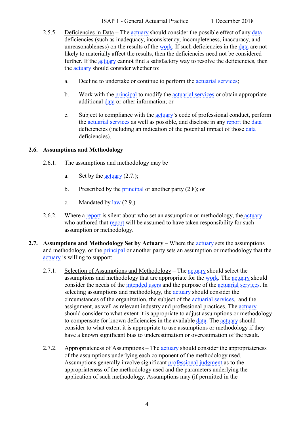#### ISAP 1 - General Actuarial Practice 1 December 2018

- <span id="page-11-2"></span>2.5.5. Deficiencies in Data – The [actuary](https://www.actuaries.org/IAA/Documents/CTTEES_ASC/ISAPs_Glossary_Terms/Actuary.html) should consider the possible effect of any [data](https://www.actuaries.org/IAA/Documents/CTTEES_ASC/ISAPs_Glossary_Terms/Data.html) deficiencies (such as inadequacy, inconsistency, incompleteness, inaccuracy, and unreasonableness) on the results of the [work.](https://www.actuaries.org/IAA/Documents/CTTEES_ASC/ISAPs_Glossary_Terms/Work.html) If such deficiencies in the [data](https://www.actuaries.org/IAA/Documents/CTTEES_ASC/ISAPs_Glossary_Terms/Data.html) are not likely to materially affect the results, then the deficiencies need not be considered further. If the [actuary](https://www.actuaries.org/IAA/Documents/CTTEES_ASC/ISAPs_Glossary_Terms/Actuary.html) cannot find a satisfactory way to resolve the deficiencies, then the [actuary](https://www.actuaries.org/IAA/Documents/CTTEES_ASC/ISAPs_Glossary_Terms/Actuary.html) should consider whether to:
	- a. Decline to undertake or continue to perform the [actuarial services;](https://www.actuaries.org/IAA/Documents/CTTEES_ASC/ISAPs_Glossary_Terms/Actuarial_Services.html)
	- b. Work with the **principal** to modify the [actuarial services](https://www.actuaries.org/IAA/Documents/CTTEES_ASC/ISAPs_Glossary_Terms/Actuarial_Services.html) or obtain appropriate additional [data](https://www.actuaries.org/IAA/Documents/CTTEES_ASC/ISAPs_Glossary_Terms/Data.html) or other information; or
	- c. Subject to compliance with the [actuary'](https://www.actuaries.org/IAA/Documents/CTTEES_ASC/ISAPs_Glossary_Terms/Actuary.html)s code of professional conduct, perform the [actuarial services](https://www.actuaries.org/IAA/Documents/CTTEES_ASC/ISAPs_Glossary_Terms/Actuarial_Services.html) as well as possible, and disclose in any [report](https://www.actuaries.org/IAA/Documents/CTTEES_ASC/ISAPs_Glossary_Terms/Report.html) the [data](https://www.actuaries.org/IAA/Documents/CTTEES_ASC/ISAPs_Glossary_Terms/Data.html) deficiencies (including an indication of the potential impact of those [data](https://www.actuaries.org/IAA/Documents/CTTEES_ASC/ISAPs_Glossary_Terms/Data.html) deficiencies).

#### <span id="page-11-0"></span>**2.6. Assumptions and Methodology**

- 2.6.1. The assumptions and methodology may be
	- a. Set by the  $\frac{accuracy}{2.7.}$ ;
	- b. Prescribed by the [principal](https://www.actuaries.org/IAA/Documents/CTTEES_ASC/ISAPs_Glossary_Terms/Principal.html) or another party (2.8); or
	- c. Mandated by  $law(2.9)$ .
- 2.6.2. Where a [report](https://www.actuaries.org/IAA/Documents/CTTEES_ASC/ISAPs_Glossary_Terms/Report.html) is silent about who set an assumption or methodology, the [actuary](https://www.actuaries.org/IAA/Documents/CTTEES_ASC/ISAPs_Glossary_Terms/Actuary.html) who authored that [report](https://www.actuaries.org/IAA/Documents/CTTEES_ASC/ISAPs_Glossary_Terms/Report.html) will be assumed to have taken responsibility for such assumption or methodology.
- <span id="page-11-1"></span>**2.7. Assumptions and Methodology Set by Actuary** – Where the [actuary](https://www.actuaries.org/IAA/Documents/CTTEES_ASC/ISAPs_Glossary_Terms/Actuary.html) sets the assumptions and methodology, or the [principal](https://www.actuaries.org/IAA/Documents/CTTEES_ASC/ISAPs_Glossary_Terms/Principal.html) or another party sets an assumption or methodology that the [actuary](https://www.actuaries.org/IAA/Documents/CTTEES_ASC/ISAPs_Glossary_Terms/Actuary.html) is willing to support:
	- 2.7.1. Selection of Assumptions and Methodology The [actuary](https://www.actuaries.org/IAA/Documents/CTTEES_ASC/ISAPs_Glossary_Terms/Actuary.html) should select the assumptions and methodology that are appropriate for the [work.](https://www.actuaries.org/IAA/Documents/CTTEES_ASC/ISAPs_Glossary_Terms/Work.html) The [actuary](https://www.actuaries.org/IAA/Documents/CTTEES_ASC/ISAPs_Glossary_Terms/Actuary.html) should consider the needs of the [intended users](https://www.actuaries.org/IAA/Documents/CTTEES_ASC/ISAPs_Glossary_Terms/Intended_User.html) and the purpose of the [actuarial services.](https://www.actuaries.org/IAA/Documents/CTTEES_ASC/ISAPs_Glossary_Terms/Actuarial_Services.html) In selecting assumptions and methodology, the [actuary](https://www.actuaries.org/IAA/Documents/CTTEES_ASC/ISAPs_Glossary_Terms/Actuary.html) should consider the circumstances of the organization, the subject of the [actuarial services,](https://www.actuaries.org/IAA/Documents/CTTEES_ASC/ISAPs_Glossary_Terms/Actuarial_Services.html) and the assignment, as well as relevant industry and professional practices. The [actuary](https://www.actuaries.org/IAA/Documents/CTTEES_ASC/ISAPs_Glossary_Terms/Actuary.html) should consider to what extent it is appropriate to adjust assumptions or methodology to compensate for known deficiencies in the available [data.](https://www.actuaries.org/IAA/Documents/CTTEES_ASC/ISAPs_Glossary_Terms/Data.html) The [actuary](https://www.actuaries.org/IAA/Documents/CTTEES_ASC/ISAPs_Glossary_Terms/Actuary.html) should consider to what extent it is appropriate to use assumptions or methodology if they have a known significant bias to underestimation or overestimation of the result.
	- 2.7.2. Appropriateness of Assumptions The [actuary](https://www.actuaries.org/IAA/Documents/CTTEES_ASC/ISAPs_Glossary_Terms/Actuary.html) should consider the appropriateness of the assumptions underlying each component of the methodology used. Assumptions generally involve significant [professional judgment](https://www.actuaries.org/IAA/Documents/CTTEES_ASC/ISAPs_Glossary_Terms/Professional_Judgment.html) as to the appropriateness of the methodology used and the parameters underlying the application of such methodology. Assumptions may (if permitted in the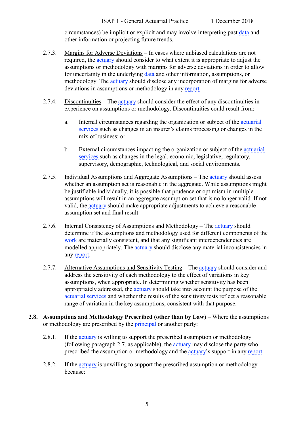circumstances) be implicit or explicit and may involve interpreting past [data](https://www.actuaries.org/IAA/Documents/CTTEES_ASC/ISAPs_Glossary_Terms/Data.html) and other information or projecting future trends.

- <span id="page-12-1"></span>2.7.3. Margins for Adverse Deviations – In cases where unbiased calculations are not required, the [actuary](https://www.actuaries.org/IAA/Documents/CTTEES_ASC/ISAPs_Glossary_Terms/Actuary.html) should consider to what extent it is appropriate to adjust the assumptions or methodology with margins for adverse deviations in order to allow for uncertainty in the underlying [data](https://www.actuaries.org/IAA/Documents/CTTEES_ASC/ISAPs_Glossary_Terms/Data.html) and other information, assumptions, or methodology. The [actuary](https://www.actuaries.org/IAA/Documents/CTTEES_ASC/ISAPs_Glossary_Terms/Actuary.html) should disclose any incorporation of margins for adverse deviations in assumptions or methodology in any [report.](https://www.actuaries.org/IAA/Documents/CTTEES_ASC/ISAPs_Glossary_Terms/Report.html)
- 2.7.4. Discontinuities The [actuary](https://www.actuaries.org/IAA/Documents/CTTEES_ASC/ISAPs_Glossary_Terms/Actuary.html) should consider the effect of any discontinuities in experience on assumptions or methodology. Discontinuities could result from:
	- a. Internal circumstances regarding the organization or subject of the [actuarial](https://www.actuaries.org/IAA/Documents/CTTEES_ASC/ISAPs_Glossary_Terms/Actuarial_Services.html)  [services](https://www.actuaries.org/IAA/Documents/CTTEES_ASC/ISAPs_Glossary_Terms/Actuarial_Services.html) such as changes in an insurer's claims processing or changes in the mix of business; or
	- b. External circumstances impacting the organization or subject of the [actuarial](https://www.actuaries.org/IAA/Documents/CTTEES_ASC/ISAPs_Glossary_Terms/Actuarial_Services.html)  [services](https://www.actuaries.org/IAA/Documents/CTTEES_ASC/ISAPs_Glossary_Terms/Actuarial_Services.html) such as changes in the legal, economic, legislative, regulatory, supervisory, demographic, technological, and social environments.
- 2.7.5. Individual Assumptions and Aggregate Assumptions The [actuary](https://www.actuaries.org/IAA/Documents/CTTEES_ASC/ISAPs_Glossary_Terms/Actuary.html) should assess whether an assumption set is reasonable in the aggregate. While assumptions might be justifiable individually, it is possible that prudence or optimism in multiple assumptions will result in an aggregate assumption set that is no longer valid. If not valid, the [actuary](https://www.actuaries.org/IAA/Documents/CTTEES_ASC/ISAPs_Glossary_Terms/Actuary.html) should make appropriate adjustments to achieve a reasonable assumption set and final result.
- <span id="page-12-2"></span>2.7.6. Internal Consistency of Assumptions and Methodology – The [actuary](https://www.actuaries.org/IAA/Documents/CTTEES_ASC/ISAPs_Glossary_Terms/Actuary.html) should determine if the assumptions and methodology used for different components of the [work](https://www.actuaries.org/IAA/Documents/CTTEES_ASC/ISAPs_Glossary_Terms/Work.html) are materially consistent, and that any significant interdependencies are modelled appropriately. The [actuary](https://www.actuaries.org/IAA/Documents/CTTEES_ASC/ISAPs_Glossary_Terms/Actuary.html) should disclose any material inconsistencies in any [report.](https://www.actuaries.org/IAA/Documents/CTTEES_ASC/ISAPs_Glossary_Terms/Report.html)
- 2.7.7. Alternative Assumptions and Sensitivity Testing The [actuary](https://www.actuaries.org/IAA/Documents/CTTEES_ASC/ISAPs_Glossary_Terms/Actuary.html) should consider and address the sensitivity of each methodology to the effect of variations in key assumptions, when appropriate. In determining whether sensitivity has been appropriately addressed, the [actuary](https://www.actuaries.org/IAA/Documents/CTTEES_ASC/ISAPs_Glossary_Terms/Actuary.html) should take into account the purpose of the [actuarial services](https://www.actuaries.org/IAA/Documents/CTTEES_ASC/ISAPs_Glossary_Terms/Actuarial_Services.html) and whether the results of the sensitivity tests reflect a reasonable range of variation in the key assumptions, consistent with that purpose.
- <span id="page-12-3"></span><span id="page-12-0"></span>**2.8. Assumptions and Methodology Prescribed (other than by Law)** – Where the assumptions or methodology are prescribed by the [principal](https://www.actuaries.org/IAA/Documents/CTTEES_ASC/ISAPs_Glossary_Terms/Principal.html) or another party:
	- 2.8.1. If the [actuary](https://www.actuaries.org/IAA/Documents/CTTEES_ASC/ISAPs_Glossary_Terms/Actuary.html) is willing to support the prescribed assumption or methodology (following paragraph [2.7.](#page-11-1) as applicable), the [actuary](https://www.actuaries.org/IAA/Documents/CTTEES_ASC/ISAPs_Glossary_Terms/Actuary.html) may disclose the party who prescribed the assumption or methodology and the [actuary'](https://www.actuaries.org/IAA/Documents/CTTEES_ASC/ISAPs_Glossary_Terms/Actuary.html)s support in any [report](https://www.actuaries.org/IAA/Documents/CTTEES_ASC/ISAPs_Glossary_Terms/Report.html)
	- 2.8.2. If the [actuary](https://www.actuaries.org/IAA/Documents/CTTEES_ASC/ISAPs_Glossary_Terms/Actuary.html) is unwilling to support the prescribed assumption or methodology because: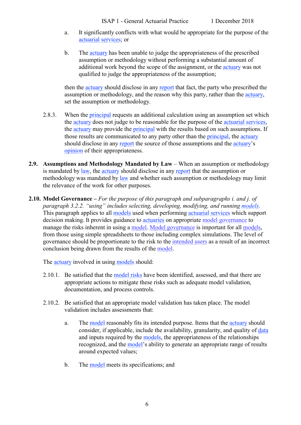- a. It significantly conflicts with what would be appropriate for the purpose of the [actuarial services;](https://www.actuaries.org/IAA/Documents/CTTEES_ASC/ISAPs_Glossary_Terms/Actuarial_Services.html) or
- b. The [actuary](https://www.actuaries.org/IAA/Documents/CTTEES_ASC/ISAPs_Glossary_Terms/Actuary.html) has been unable to judge the appropriateness of the prescribed assumption or methodology without performing a substantial amount of additional work beyond the scope of the assignment, or the [actuary](https://www.actuaries.org/IAA/Documents/CTTEES_ASC/ISAPs_Glossary_Terms/Actuary.html) was not qualified to judge the appropriateness of the assumption;

then the [actuary](https://www.actuaries.org/IAA/Documents/CTTEES_ASC/ISAPs_Glossary_Terms/Actuary.html) should disclose in any [report](https://www.actuaries.org/IAA/Documents/CTTEES_ASC/ISAPs_Glossary_Terms/Report.html) that fact, the party who prescribed the assumption or methodology, and the reason why this party, rather than the [actuary,](https://www.actuaries.org/IAA/Documents/CTTEES_ASC/ISAPs_Glossary_Terms/Actuary.html) set the assumption or methodology.

- <span id="page-13-2"></span>2.8.3. When the [principal](https://www.actuaries.org/IAA/Documents/CTTEES_ASC/ISAPs_Glossary_Terms/Principal.html) requests an additional calculation using an assumption set which the [actuary](https://www.actuaries.org/IAA/Documents/CTTEES_ASC/ISAPs_Glossary_Terms/Actuary.html) does not judge to be reasonable for the purpose of the [actuarial services,](https://www.actuaries.org/IAA/Documents/CTTEES_ASC/ISAPs_Glossary_Terms/Actuarial_Services.html) the [actuary](https://www.actuaries.org/IAA/Documents/CTTEES_ASC/ISAPs_Glossary_Terms/Actuary.html) may provide the [principal](https://www.actuaries.org/IAA/Documents/CTTEES_ASC/ISAPs_Glossary_Terms/Prinicipal.html) with the results based on such assumptions. If those results are communicated to any party other than the [principal,](https://www.actuaries.org/IAA/Documents/CTTEES_ASC/ISAPs_Glossary_Terms/Principal.html) the [actuary](https://www.actuaries.org/IAA/Documents/CTTEES_ASC/ISAPs_Glossary_Terms/Actuary.html) should disclose in any [report](https://www.actuaries.org/IAA/Documents/CTTEES_ASC/ISAPs_Glossary_Terms/Report.html) the source of those assumptions and the [actuary'](https://www.actuaries.org/IAA/Documents/CTTEES_ASC/ISAPs_Glossary_Terms/Actuary.html)s [opinion](https://www.actuaries.org/IAA/Documents/CTTEES_ASC/ISAPs_Glossary_Terms/opinion.html) of their appropriateness.
- <span id="page-13-0"></span>**2.9. Assumptions and Methodology Mandated by Law** – When an assumption or methodology is mandated by [law,](https://www.actuaries.org/IAA/Documents/CTTEES_ASC/ISAPs_Glossary_Terms/Law.html) the [actuary](https://www.actuaries.org/IAA/Documents/CTTEES_ASC/ISAPs_Glossary_Terms/Actuary.html) should disclose in any [report](https://www.actuaries.org/IAA/Documents/CTTEES_ASC/ISAPs_Glossary_Terms/Report.html) that the assumption or methodology was mandated b[y law](https://www.actuaries.org/IAA/Documents/CTTEES_ASC/ISAPs_Glossary_Terms/Law.html) and whether such assumption or methodology may limit the relevance of the work for other purposes.
- <span id="page-13-1"></span>**2.10. Model Governance –** *For the purpose of this paragraph and subparagraphs i. and j. of paragraph [3.2.2.](#page-16-3) "using" includes selecting, developing, modifying, and running [models.](https://www.actuaries.org/IAA/Documents/CTTEES_ASC/ISAPs_Glossary_Terms/Model.html)* This paragraph applies to all [models](https://www.actuaries.org/IAA/Documents/CTTEES_ASC/ISAPs_Glossary_Terms/Model.html) used when performing [actuarial services](https://www.actuaries.org/IAA/Documents/CTTEES_ASC/ISAPs_Glossary_Terms/Actuarial_Services.html) which support decision making. It provides guidance to [actuaries](https://www.actuaries.org/IAA/Documents/CTTEES_ASC/ISAPs_Glossary_Terms/Actuary.html) on appropriate [model governance](https://www.actuaries.org/IAA/Documents/CTTEES_ASC/ISAPs_Glossary_Terms/Model_Governance.html) to manage the risks inherent in using a [model.](https://www.actuaries.org/IAA/Documents/CTTEES_ASC/ISAPs_Glossary_Terms/Model.html) [Model governance](https://www.actuaries.org/IAA/Documents/CTTEES_ASC/ISAPs_Glossary_Terms/Model_Governance.html) is important for all [models,](https://www.actuaries.org/IAA/Documents/CTTEES_ASC/ISAPs_Glossary_Terms/Model.html) from those using simple spreadsheets to those including complex simulations. The level of governance should be proportionate to the risk to the [intended users](https://www.actuaries.org/IAA/Documents/CTTEES_ASC/ISAPs_Glossary_Terms/Intended_User.html) as a result of an incorrect conclusion being drawn from the results of the [model.](https://www.actuaries.org/IAA/Documents/CTTEES_ASC/ISAPs_Glossary_Terms/Model.html)

The [actuary](https://www.actuaries.org/IAA/Documents/CTTEES_ASC/ISAPs_Glossary_Terms/Actuary.html) involved in using [models](https://www.actuaries.org/IAA/Documents/CTTEES_ASC/ISAPs_Glossary_Terms/Model.html) should:

- 2.10.1. Be satisfied that the [model risks](https://www.actuaries.org/IAA/Documents/CTTEES_ASC/ISAPs_Glossary_Terms/Model_Risk.html) have been identified, assessed, and that there are appropriate actions to mitigate these risks such as adequate model validation, documentation, and process controls.
- 2.10.2. Be satisfied that an appropriate model validation has taken place. The model validation includes assessments that:
	- a. The [model](https://www.actuaries.org/IAA/Documents/CTTEES_ASC/ISAPs_Glossary_Terms/Model.html) reasonably fits its intended purpose. Items that the [actuary](https://www.actuaries.org/IAA/Documents/CTTEES_ASC/ISAPs_Glossary_Terms/Actuary.html) should consider, if applicable, include the availability, granularity, and quality of [data](https://www.actuaries.org/IAA/Documents/CTTEES_ASC/ISAPs_Glossary_Terms/Data.html) and inputs required by the [models,](https://www.actuaries.org/IAA/Documents/CTTEES_ASC/ISAPs_Glossary_Terms/Model.html) the appropriateness of the relationships recognized, and the [model'](https://www.actuaries.org/IAA/Documents/CTTEES_ASC/ISAPs_Glossary_Terms/Model.html)s ability to generate an appropriate range of results around expected values;
	- b. The [model](https://www.actuaries.org/IAA/Documents/CTTEES_ASC/ISAPs_Glossary_Terms/Model.html) meets its specifications; and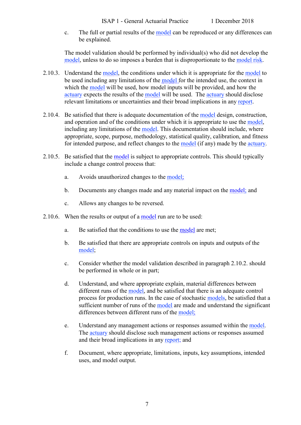c. The full or partial results of the [model](https://www.actuaries.org/IAA/Documents/CTTEES_ASC/ISAPs_Glossary_Terms/Model.html) can be reproduced or any differences can be explained.

The model validation should be performed by individual(s) who did not develop the [model,](https://www.actuaries.org/IAA/Documents/CTTEES_ASC/ISAPs_Glossary_Terms/Model.html) unless to do so imposes a burden that is disproportionate to the [model risk.](https://www.actuaries.org/IAA/Documents/CTTEES_ASC/ISAPs_Glossary_Terms/Model_Risk.html)

- <span id="page-14-0"></span>2.10.3. Understand the [model,](https://www.actuaries.org/IAA/Documents/CTTEES_ASC/ISAPs_Glossary_Terms/Model.html) the conditions under which it is appropriate for the [model](https://www.actuaries.org/IAA/Documents/CTTEES_ASC/ISAPs_Glossary_Terms/Model.html) to be used including any limitations of the [model](https://www.actuaries.org/IAA/Documents/CTTEES_ASC/ISAPs_Glossary_Terms/Model.html) for the intended use, the context in which the [model](https://www.actuaries.org/IAA/Documents/CTTEES_ASC/ISAPs_Glossary_Terms/Model.html) will be used, how model inputs will be provided, and how the [actuary](https://www.actuaries.org/IAA/Documents/CTTEES_ASC/ISAPs_Glossary_Terms/Actuary.html) expects the results of the [model](https://www.actuaries.org/IAA/Documents/CTTEES_ASC/ISAPs_Glossary_Terms/Model.html) will be used. The [actuary](https://www.actuaries.org/IAA/Documents/CTTEES_ASC/ISAPs_Glossary_Terms/Actuary.html) should disclose relevant limitations or uncertainties and their broad implications in any [report.](https://www.actuaries.org/IAA/Documents/CTTEES_ASC/ISAPs_Glossary_Terms/Report.html)
- 2.10.4. Be satisfied that there is adequate documentation of the [model](https://www.actuaries.org/IAA/Documents/CTTEES_ASC/ISAPs_Glossary_Terms/Model.html) design, construction, and operation and of the conditions under which it is appropriate to use the [model,](https://www.actuaries.org/IAA/Documents/CTTEES_ASC/ISAPs_Glossary_Terms/Model.html) including any limitations of the [model.](https://www.actuaries.org/IAA/Documents/CTTEES_ASC/ISAPs_Glossary_Terms/Model.html) This documentation should include, where appropriate, scope, purpose, methodology, statistical quality, calibration, and fitness for intended purpose, and reflect changes to the [model](https://www.actuaries.org/IAA/Documents/CTTEES_ASC/ISAPs_Glossary_Terms/Model.html) (if any) made by the [actuary.](https://www.actuaries.org/IAA/Documents/CTTEES_ASC/ISAPs_Glossary_Terms/Actuary.html)
- 2.10.5. Be satisfied that the [model](https://www.actuaries.org/IAA/Documents/CTTEES_ASC/ISAPs_Glossary_Terms/Model.html) is subject to appropriate controls. This should typically include a change control process that:
	- a. Avoids unauthorized changes to the [model;](https://www.actuaries.org/IAA/Documents/CTTEES_ASC/ISAPs_Glossary_Terms/Model.html)
	- b. Documents any changes made and any material impact on the [model;](https://www.actuaries.org/IAA/Documents/CTTEES_ASC/ISAPs_Glossary_Terms/Model.html) and
	- c. Allows any changes to be reversed.
- <span id="page-14-1"></span>2.10.6. When the results or output of a [model](https://www.actuaries.org/IAA/Documents/CTTEES_ASC/ISAPs_Glossary_Terms/Model.html) run are to be used:
	- a. Be satisfied that the conditions to use the [model](https://www.actuaries.org/IAA/Documents/CTTEES_ASC/ISAPs_Glossary_Terms/Model.html) are met;
	- b. Be satisfied that there are appropriate controls on inputs and outputs of the [model;](https://www.actuaries.org/IAA/Documents/CTTEES_ASC/ISAPs_Glossary_Terms/Model.html)
	- c. Consider whether the model validation described in paragraph 2.10.2. should be performed in whole or in part;
	- d. Understand, and where appropriate explain, material differences between different runs of the [model,](https://www.actuaries.org/IAA/Documents/CTTEES_ASC/ISAPs_Glossary_Terms/Model.html) and be satisfied that there is an adequate control process for production runs. In the case of stochastic [models,](https://www.actuaries.org/IAA/Documents/CTTEES_ASC/ISAPs_Glossary_Terms/Model.html) be satisfied that a sufficient number of runs of the [model](https://www.actuaries.org/IAA/Documents/CTTEES_ASC/ISAPs_Glossary_Terms/Model.html) are made and understand the significant differences between different runs of the [model;](https://www.actuaries.org/IAA/Documents/CTTEES_ASC/ISAPs_Glossary_Terms/Model.html)
	- e. Understand any management actions or responses assumed within the [model.](https://www.actuaries.org/IAA/Documents/CTTEES_ASC/ISAPs_Glossary_Terms/Model.html) The [actuary](https://www.actuaries.org/IAA/Documents/CTTEES_ASC/ISAPs_Glossary_Terms/Actuary.html) should disclose such management actions or responses assumed and their broad implications in any [report;](https://www.actuaries.org/IAA/Documents/CTTEES_ASC/ISAPs_Glossary_Terms/Report.html) and
	- f. Document, where appropriate, limitations, inputs, key assumptions, intended uses, and model output.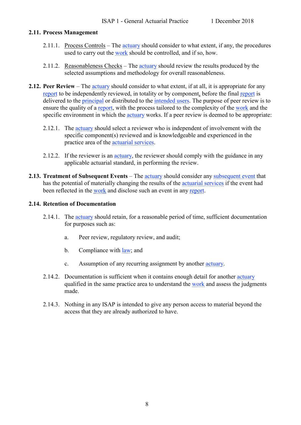#### <span id="page-15-0"></span>**2.11. Process Management**

- 2.11.1. Process Controls The [actuary](https://www.actuaries.org/IAA/Documents/CTTEES_ASC/ISAPs_Glossary_Terms/Actuary.html) should consider to what extent, if any, the procedures used to carry out the [work](https://www.actuaries.org/IAA/Documents/CTTEES_ASC/ISAPs_Glossary_Terms/Work.html) should be controlled, and if so, how.
- 2.11.2. Reasonableness Checks The [actuary](https://www.actuaries.org/IAA/Documents/CTTEES_ASC/ISAPs_Glossary_Terms/Actuary.html) should review the results produced by the selected assumptions and methodology for overall reasonableness.
- <span id="page-15-1"></span>**2.12. Peer Review** – The [actuary](https://www.actuaries.org/IAA/Documents/CTTEES_ASC/ISAPs_Glossary_Terms/Actuary.html) should consider to what extent, if at all, it is appropriate for any [report](https://www.actuaries.org/IAA/Documents/CTTEES_ASC/ISAPs_Glossary_Terms/Report.html) to be independently reviewed, in totality or by component, before the final [report](https://www.actuaries.org/IAA/Documents/CTTEES_ASC/ISAPs_Glossary_Terms/Report.html) is delivered to the [principal](https://www.actuaries.org/IAA/Documents/CTTEES_ASC/ISAPs_Glossary_Terms/Principal.html) or distributed to the [intended users.](https://www.actuaries.org/IAA/Documents/CTTEES_ASC/ISAPs_Glossary_Terms/Intended_User.html) The purpose of peer review is to ensure the quality of a [report,](https://www.actuaries.org/IAA/Documents/CTTEES_ASC/ISAPs_Glossary_Terms/Report.html) with the process tailored to the complexity of the [work](https://www.actuaries.org/IAA/Documents/CTTEES_ASC/ISAPs_Glossary_Terms/Work.html) and the specific environment in which the [actuary](https://www.actuaries.org/IAA/Documents/CTTEES_ASC/ISAPs_Glossary_Terms/Actuary.html) works. If a peer review is deemed to be appropriate:
	- 2.12.1. The [actuary](https://www.actuaries.org/IAA/Documents/CTTEES_ASC/ISAPs_Glossary_Terms/Actuary.html) should select a reviewer who is independent of involvement with the specific component(s) reviewed and is knowledgeable and experienced in the practice area of the [actuarial services.](https://www.actuaries.org/IAA/Documents/CTTEES_ASC/ISAPs_Glossary_Terms/Actuarial_Services.html)
	- 2.12.2. If the reviewer is an [actuary,](https://www.actuaries.org/IAA/Documents/CTTEES_ASC/ISAPs_Glossary_Terms/Actuary.html) the reviewer should comply with the guidance in any applicable actuarial standard, in performing the review.
- <span id="page-15-2"></span>**2.13. Treatment of Subsequent Events** – The [actuary](https://www.actuaries.org/IAA/Documents/CTTEES_ASC/ISAPs_Glossary_Terms/Actuary.html) should consider any [subsequent event](https://www.actuaries.org/IAA/Documents/CTTEES_ASC/ISAPs_Glossary_Terms/Subsequent_Event.html) that has the potential of materially changing the results of the [actuarial services](https://www.actuaries.org/IAA/Documents/CTTEES_ASC/ISAPs_Glossary_Terms/Actuarial_Services.html) if the event had been reflected in the [work](https://www.actuaries.org/IAA/Documents/CTTEES_ASC/ISAPs_Glossary_Terms/Work.html) and disclose such an event in any [report.](https://www.actuaries.org/IAA/Documents/CTTEES_ASC/ISAPs_Glossary_Terms/Report.html)

#### <span id="page-15-3"></span>**2.14. Retention of Documentation**

- 2.14.1. The [actuary](https://www.actuaries.org/IAA/Documents/CTTEES_ASC/ISAPs_Glossary_Terms/Actuary.html) should retain, for a reasonable period of time, sufficient documentation for purposes such as:
	- a. Peer review, regulatory review, and audit;
	- b. Compliance with <u>law</u>; and
	- c. Assumption of any recurring assignment by another [actuary.](https://www.actuaries.org/IAA/Documents/CTTEES_ASC/ISAPs_Glossary_Terms/Actuary.html)
- 2.14.2. Documentation is sufficient when it contains enough detail for another [actuary](https://www.actuaries.org/IAA/Documents/CTTEES_ASC/ISAPs_Glossary_Terms/Actuary.html) qualified in the same practice area to understand the [work](https://www.actuaries.org/IAA/Documents/CTTEES_ASC/ISAPs_Glossary_Terms/Work.html) and assess the judgments made.
- 2.14.3. Nothing in any ISAP is intended to give any person access to material beyond the access that they are already authorized to have.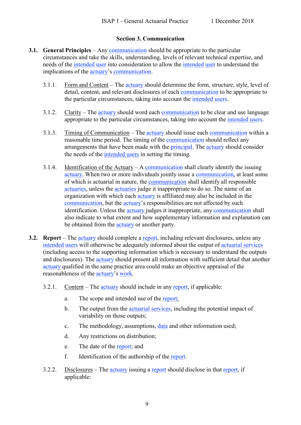#### **Section 3. Communication**

- <span id="page-16-1"></span><span id="page-16-0"></span>**3.1. General Principles** – An[y communication](https://www.actuaries.org/IAA/Documents/CTTEES_ASC/ISAPs_Glossary_Terms/Communication.html) should be appropriate to the particular circumstances and take the skills, understanding, levels of relevant technical expertise, and needs of the [intended user](https://www.actuaries.org/IAA/Documents/CTTEES_ASC/ISAPs_Glossary_Terms/Intended_User.html) into consideration to allow the [intended user](https://www.actuaries.org/IAA/Documents/CTTEES_ASC/ISAPs_Glossary_Terms/Intended_User.html) to understand the implications of the [actuary'](https://www.actuaries.org/IAA/Documents/CTTEES_ASC/ISAPs_Glossary_Terms/Actuary.html)s [communication.](https://www.actuaries.org/IAA/Documents/CTTEES_ASC/ISAPs_Glossary_Terms/Communication.html)
	- 3.1.1. Form and Content The [actuary](https://www.actuaries.org/IAA/Documents/CTTEES_ASC/ISAPs_Glossary_Terms/Actuary.html) should determine the form, structure, style, level of detail, content, and relevant disclosures of each [communication](https://www.actuaries.org/IAA/Documents/CTTEES_ASC/ISAPs_Glossary_Terms/Communication.html) to be appropriate to the particular circumstances, taking into account the [intended users.](https://www.actuaries.org/IAA/Documents/CTTEES_ASC/ISAPs_Glossary_Terms/Intended_User.html)
	- 3.1.2. Clarity The [actuary](https://www.actuaries.org/IAA/Documents/CTTEES_ASC/ISAPs_Glossary_Terms/Actuary.html) should word each [communication](https://www.actuaries.org/IAA/Documents/CTTEES_ASC/ISAPs_Glossary_Terms/Communication.html) to be clear and use language appropriate to the particular circumstances, taking into account the [intended users.](https://www.actuaries.org/IAA/Documents/CTTEES_ASC/ISAPs_Glossary_Terms/Intended_User.html)
	- 3.1.3. Timing of Communication The [actuary](https://www.actuaries.org/IAA/Documents/CTTEES_ASC/ISAPs_Glossary_Terms/Actuary.html) should issue each [communication](http://www.actuaries.org/CTTEES_ASC/isapglossary/communication.htm) within a reasonable time period. The timing of the [communication](https://www.actuaries.org/IAA/Documents/CTTEES_ASC/ISAPs_Glossary_Terms/Communication.html) should reflect any arrangements that have been made with the [principal.](https://www.actuaries.org/IAA/Documents/CTTEES_ASC/ISAPs_Glossary_Terms/Prinicipal.html) The [actuary](https://www.actuaries.org/IAA/Documents/CTTEES_ASC/ISAPs_Glossary_Terms/Actuary.html) should consider the needs of the [intended users](https://www.actuaries.org/IAA/Documents/CTTEES_ASC/ISAPs_Glossary_Terms/Intended_User.html) in setting the timing.
	- 3.1.4. Identification of the Actuary A [communication](https://www.actuaries.org/IAA/Documents/CTTEES_ASC/ISAPs_Glossary_Terms/Communication.html) shall clearly identify the issuing [actuary.](https://www.actuaries.org/IAA/Documents/CTTEES_ASC/ISAPs_Glossary_Terms/Actuary.html) When two or more individuals jointly issue a [communication,](https://www.actuaries.org/IAA/Documents/CTTEES_ASC/ISAPs_Glossary_Terms/Communication.html) at least some of which is actuarial in nature, the [communication](https://www.actuaries.org/IAA/Documents/CTTEES_ASC/ISAPs_Glossary_Terms/Communication.html) shall identify all responsible [actuaries,](https://www.actuaries.org/IAA/Documents/CTTEES_ASC/ISAPs_Glossary_Terms/Actuary.html) unless the [actuaries](https://www.actuaries.org/IAA/Documents/CTTEES_ASC/ISAPs_Glossary_Terms/Actuary.html) judge it inappropriate to do so. The name of an organization with which each [actuary](https://www.actuaries.org/IAA/Documents/CTTEES_ASC/ISAPs_Glossary_Terms/Actuary.html) is affiliated may also be included in the [communication,](https://www.actuaries.org/IAA/Documents/CTTEES_ASC/ISAPs_Glossary_Terms/Communication.html) but the [actuary'](https://www.actuaries.org/IAA/Documents/CTTEES_ASC/ISAPs_Glossary_Terms/Actuary.html)s responsibilities are not affected by such identification. Unless the [actuary](https://www.actuaries.org/IAA/Documents/CTTEES_ASC/ISAPs_Glossary_Terms/Actuary.html) judges it inappropriate, any [communication](https://www.actuaries.org/IAA/Documents/CTTEES_ASC/ISAPs_Glossary_Terms/Communication.html) shall also indicate to what extent and how supplementary information and explanation can be obtained from the [actuary](https://www.actuaries.org/IAA/Documents/CTTEES_ASC/ISAPs_Glossary_Terms/Actuary.html) or another party.
- <span id="page-16-3"></span><span id="page-16-2"></span>**3.2. Report** – The [actuary](https://www.actuaries.org/IAA/Documents/CTTEES_ASC/ISAPs_Glossary_Terms/Actuary.html) should complete a [report,](https://www.actuaries.org/IAA/Documents/CTTEES_ASC/ISAPs_Glossary_Terms/Report.html) including relevant disclosures, unless any [intended users](https://www.actuaries.org/IAA/Documents/CTTEES_ASC/ISAPs_Glossary_Terms/Intended_User.html) will otherwise be adequately informed about the output of [actuarial services](https://www.actuaries.org/IAA/Documents/CTTEES_ASC/ISAPs_Glossary_Terms/Actuarial_Services.html) (including access to the supporting information which is necessary to understand the outputs and disclosures). The **actuary** should present all information with sufficient detail that another [actuary](https://www.actuaries.org/IAA/Documents/CTTEES_ASC/ISAPs_Glossary_Terms/Actuary.html) qualified in the same practice area could make an objective appraisal of the reasonableness of the [actuary'](https://www.actuaries.org/IAA/Documents/CTTEES_ASC/ISAPs_Glossary_Terms/Actuary.html)s [work.](https://www.actuaries.org/IAA/Documents/CTTEES_ASC/ISAPs_Glossary_Terms/Work.html)
	- 3.2.1. Content The [actuary](https://www.actuaries.org/IAA/Documents/CTTEES_ASC/ISAPs_Glossary_Terms/Actuary.html) should include in an[y report,](https://www.actuaries.org/IAA/Documents/CTTEES_ASC/ISAPs_Glossary_Terms/Report.html) if applicable:
		- a. The scope and intended use of the [report;](https://www.actuaries.org/IAA/Documents/CTTEES_ASC/ISAPs_Glossary_Terms/Report.html)
		- b. The output from the [actuarial services,](https://www.actuaries.org/IAA/Documents/CTTEES_ASC/ISAPs_Glossary_Terms/Actuarial_Services.html) including the potential impact of variability on those outputs;
		- c. The methodology, assumptions, [data](https://www.actuaries.org/IAA/Documents/CTTEES_ASC/ISAPs_Glossary_Terms/Data.html) and other information used;
		- d. Any restrictions on distribution;
		- e. The date of the [report;](https://www.actuaries.org/IAA/Documents/CTTEES_ASC/ISAPs_Glossary_Terms/Report.html) and
		- f. Identification of the authorship of the [report.](https://www.actuaries.org/IAA/Documents/CTTEES_ASC/ISAPs_Glossary_Terms/Report.html)
	- 3.2.2. Disclosures The [actuary](https://www.actuaries.org/IAA/Documents/CTTEES_ASC/ISAPs_Glossary_Terms/Actuary.html) issuing a [report](https://www.actuaries.org/IAA/Documents/CTTEES_ASC/ISAPs_Glossary_Terms/Report.html) should disclose in that [report,](https://www.actuaries.org/IAA/Documents/CTTEES_ASC/ISAPs_Glossary_Terms/Report.html) if applicable: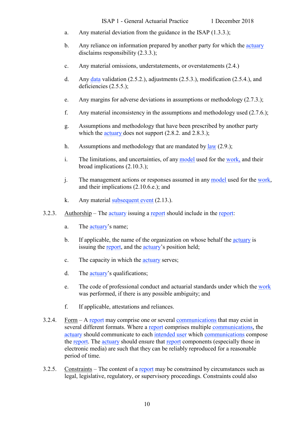- a. Any material deviation from the guidance in the ISAP [\(1.3.3.](#page-5-7));
- b. Any reliance on information prepared by another party for which the [actuary](https://www.actuaries.org/IAA/Documents/CTTEES_ASC/ISAPs_Glossary_Terms/Actuary.html) disclaims responsibility [\(2.3.3.](#page-9-0));
- c. Any material omissions, understatements, or overstatements [\(2.4.](#page-10-0))
- d. Any [data](https://www.actuaries.org/IAA/Documents/CTTEES_ASC/ISAPs_Glossary_Terms/Data.html) validation [\(2.5.2.](#page-10-2)), adjustments [\(2.5.3.](#page-10-3)), modification [\(2.5.4.](#page-10-4)), and deficiencies [\(2.5.5.](#page-11-2));
- e. Any margins for adverse deviations in assumptions or methodology [\(2.7.3.](#page-12-1));
- f. Any material inconsistency in the assumptions and methodology used [\(2.7.6.](#page-12-2));
- g. Assumptions and methodology that have been prescribed by another party which the [actuary](https://www.actuaries.org/IAA/Documents/CTTEES_ASC/ISAPs_Glossary_Terms/Actuary.html) does not support [\(2.8.2.](#page-12-3) and [2.8.3.](#page-13-2));
- h. Assumptions and methodology that are mandated by  $law(2.9)$ ;
- i. The limitations, and uncertainties, of any [model](https://www.actuaries.org/IAA/Documents/CTTEES_ASC/ISAPs_Glossary_Terms/Model.html) used for the [work,](https://www.actuaries.org/IAA/Documents/CTTEES_ASC/ISAPs_Glossary_Terms/Work.html) and their broad implications [\(2.10.3.](#page-14-0));
- j. The management actions or responses assumed in any [model](https://www.actuaries.org/IAA/Documents/CTTEES_ASC/ISAPs_Glossary_Terms/Model.html) used for the [work,](https://www.actuaries.org/IAA/Documents/CTTEES_ASC/ISAPs_Glossary_Terms/Work.html) and their implications [\(2.10.6.](#page-14-1)e.); and
- k. Any material [subsequent event](https://www.actuaries.org/IAA/Documents/CTTEES_ASC/ISAPs_Glossary_Terms/Subsequent_Event.html) [\(2.13.](#page-15-2)).
- 3.2.3. Authorship The [actuary](https://www.actuaries.org/IAA/Documents/CTTEES_ASC/ISAPs_Glossary_Terms/Actuary.html) issuing a [report](https://www.actuaries.org/IAA/Documents/CTTEES_ASC/ISAPs_Glossary_Terms/Report.html) should include in the [report:](https://www.actuaries.org/IAA/Documents/CTTEES_ASC/ISAPs_Glossary_Terms/Report.html)
	- a. The [actuary'](https://www.actuaries.org/IAA/Documents/CTTEES_ASC/ISAPs_Glossary_Terms/Actuary.html)s name;
	- b. If applicable, the name of the organization on whose behalf the [actuary](https://www.actuaries.org/IAA/Documents/CTTEES_ASC/ISAPs_Glossary_Terms/Actuary.html) is issuing the [report,](https://www.actuaries.org/IAA/Documents/CTTEES_ASC/ISAPs_Glossary_Terms/Report.html) and the [actuary'](https://www.actuaries.org/IAA/Documents/CTTEES_ASC/ISAPs_Glossary_Terms/Actuary.html)s position held;
	- c. The capacity in which the [actuary](https://www.actuaries.org/IAA/Documents/CTTEES_ASC/ISAPs_Glossary_Terms/Actuary.html) serves;
	- d. The [actuary'](https://www.actuaries.org/IAA/Documents/CTTEES_ASC/ISAPs_Glossary_Terms/Actuary.html)s qualifications;
	- e. The code of professional conduct and actuarial standards under which the [work](https://www.actuaries.org/IAA/Documents/CTTEES_ASC/ISAPs_Glossary_Terms/Work.html) was performed, if there is any possible ambiguity; and
	- f. If applicable, attestations and reliances.
- 3.2.4. Form  $-A$  [report](https://www.actuaries.org/IAA/Documents/CTTEES_ASC/ISAPs_Glossary_Terms/Report.html) may comprise one or several [communications](https://www.actuaries.org/IAA/Documents/CTTEES_ASC/ISAPs_Glossary_Terms/Communication.html) that may exist in several different formats. Where a [report](https://www.actuaries.org/IAA/Documents/CTTEES_ASC/ISAPs_Glossary_Terms/Report.html) comprises multiple [communications,](https://www.actuaries.org/IAA/Documents/CTTEES_ASC/ISAPs_Glossary_Terms/Communication.html) the [actuary](https://www.actuaries.org/IAA/Documents/CTTEES_ASC/ISAPs_Glossary_Terms/Actuary.html) should communicate to each [intended user](https://www.actuaries.org/IAA/Documents/CTTEES_ASC/ISAPs_Glossary_Terms/Intended_User.html) which [communications](https://www.actuaries.org/IAA/Documents/CTTEES_ASC/ISAPs_Glossary_Terms/Communication.html) compose the [report.](https://www.actuaries.org/IAA/Documents/CTTEES_ASC/ISAPs_Glossary_Terms/Report.html) The [actuary](https://www.actuaries.org/IAA/Documents/CTTEES_ASC/ISAPs_Glossary_Terms/Actuary.html) should ensure that [report](https://www.actuaries.org/IAA/Documents/CTTEES_ASC/ISAPs_Glossary_Terms/Report.html) components (especially those in electronic media) are such that they can be reliably reproduced for a reasonable period of time.
- 3.2.5. Constraints The content of a [report](https://www.actuaries.org/IAA/Documents/CTTEES_ASC/ISAPs_Glossary_Terms/Report.html) may be constrained by circumstances such as legal, legislative, regulatory, or supervisory proceedings. Constraints could also